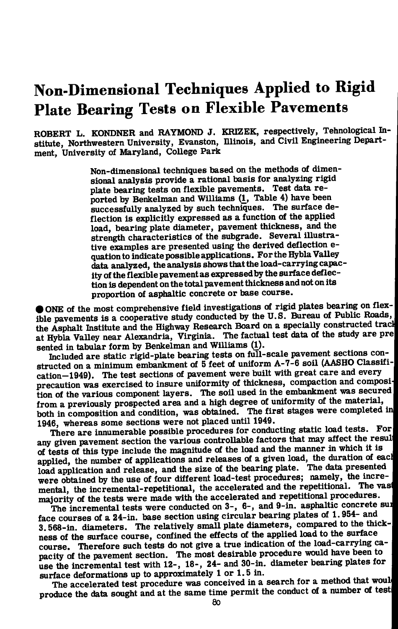# **Non-Dimensional Techniques Applied to Rigid Plate Bearing Tests on Flexible Pavements**

ROBERT L. KONDNER and RAYMOND J. KRIZEK, respectively, Tehnological In**stitute, Northwestern University, Evanston, Illinois, and Civil Engineering Department, University of Maryland, College Park** 

> **Non-dimensional techniques based on the methods of dimen**sional analysis provide a rational basis for analyzing rigid **plate bearing tests on flexible pavements. Test data re ported by Benkelman and Williams (1, Table 4) have been successfully analyzed by such techniques. The surface de**flection is explicitly expressed as a function of the applied **load, bearing plate diameter, pavement thickness, and the strength characteristics of the subgrade. Several illustrative examples are presented using the derived deflection equation to indicate possible applications. For the Hybla Valley data analyzed, the analysis shows that the load-carrying capacity of the flexible pavement as expressed by the surface deflection is dependent on the total pavement thickness and not on its proportion of asphaltic concrete or base course.**

**NE** of the most comprehensive field investigations of rigid plates bearing on flex**ible pavements is a cooperative study conducted by the U.S. Bureau of Public Roads,**  the Asphalt Institute and the Highway Research Board on a specially constructed track at Hybla Valley near Alexandria, Virginia. The factual test data of the study are pre **sented in tabular form by Benkelman and Williams {!).** 

**Included are static rigid-plate bearing tests on full-scale pavement sections constructed on a minimum embankment of 5 feet of uniform A-7-6 soil (AASHO Classifi**cation–1949). The test sections of pavement were built with great care and every precaution was exercised to insure uniformity of thickness, compaction and composition of the various component layers. The soil used in the embankment was secured **from a previously prospected area and a high degree of uniformity of the material, both in composition and condition, was obtained. The first stages were completed 1946, whereas some sections were not placed until 1949.** 

**There are innumerable possible procedures for conducting static load tests. For**  any given pavement section the various controllable factors that may affect the result **of tests of this type include the magnitude of the load and the manner in which it is**  applied, the number of applications and releases of a given load, the duration of each load application and release, and the size of the bearing plate. The data presented were obtained by the use of four different load-test procedures; namely, the incremental, the incremental-repetitional, the accelerated and the repetitional. The vast **majority of the tests were made with the accelerated and repetitional procedures.** 

**The incremental tests were conducted on 3-, 6-, and 9-in. asphaltic concrete su] face courses of a 24-in. base section using circular bearing plates of 1.954- and 3.568-in. diameters. The relatively small plate diameters, compared to the thickness of the surface course, confined the effects of the applied load to the surface course. Therefore such tests do not give a true indication of the load-carrying capacity of the pavement section. The most desirable procedure would have been to use the incremental test with 12-, 18-, 24- and 30-in. diameter bearing plates for surface deformations up to approximately 1 or 1.5 in.** 

**The accelerated test procedure was conceived in a search for a method that woul produce the data sought and at the same time permit the conduct of a number** *d* **test**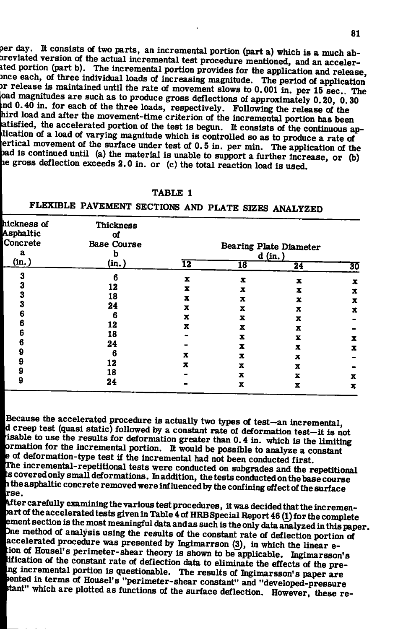**per day. It consists of two parts, an incremental portion (part a) which is a much ab-Sreviated version of the actual incremental test procedure mentioned, and an accelerited portion (part b). The incremental portion provides for the application and release, ince each, of three individual loads of increasing magnitude. The period of application )** release is maintained until the rate of movement slows to 0.001 in. per 15 sec.. The **oad magnitudes are such as to produce gross deflections of approximately 0.20, 0.30 md 0.40 in. for each of the three loads, respectively. Following the release of the hird load and after the movement-time criterion of the incremental portion has been atisfied, the accelerated portion of the test is begun. It consists of the continuous aplication of a load of varying magnitude which is controlled so as to produce a rate of ertical movement of the surface under test of 0.5 in. per min. The application of the )ad is continued until (a) the material is unable to support a further increase, or (b) le gross deflection exceeds 2.0 in. or (c) the total reaction load is used.** 

| н<br>-<br>١. |  |
|--------------|--|
|--------------|--|

| hickness of<br>Asphaltic<br>Concrete<br>a<br>(in.) | <b>Thickness</b><br>Οf<br><b>Base Course</b><br>b<br>(in.) | <b>Bearing Plate Diameter</b><br>d (in.) |    |             |        |
|----------------------------------------------------|------------------------------------------------------------|------------------------------------------|----|-------------|--------|
|                                                    |                                                            | 12                                       | 18 | 24          | 30     |
| 3                                                  | 6                                                          | x                                        | x  | x           | x      |
| 3                                                  | 12                                                         | x                                        | x  | x           | x      |
| 3                                                  | 18                                                         | x                                        | X  | x           |        |
| 3                                                  | 24                                                         | x                                        | x  | x           | x<br>x |
| 6                                                  | 6                                                          | x                                        | X  | x           |        |
| 6                                                  | 12                                                         | $\mathbf x$                              | x  | X           |        |
| 6                                                  | 18                                                         |                                          | X  | $\mathbf x$ |        |
| n                                                  | 24                                                         |                                          | x  |             | x      |
| g                                                  | 6                                                          | x                                        |    | x           | x      |
| 9                                                  | 12                                                         |                                          | X  | x           |        |
| 9                                                  |                                                            | x                                        | x  | x           |        |
|                                                    | 18                                                         |                                          | x  | x           | x      |
| g                                                  | 24                                                         |                                          | x  | x           | x      |

FLEXIBLE PAVEMENT SECTIONS AND PLATE SIZES ANALYZED

**Because the accelerated procedure is actually two types of test—an incremental, d creep test (quasi static) followed by a constant rate of deformation test—it is not isable to use the results for deformation greater than 0.4 in. which is the limiting lormation for the incremental portion. It would be possible to analyze a constant l e of deformation-type test if the incremental had not been conducted first, trhe incremental-repetitional tests were conducted on subgrades and the repetltional • s covered only small deformations. In addition, the tests conducted on the base course**  *Wri* **the asphaltic concrete removed were influenced by the confining effect of the surface** 

**A**fter carefully examining the various test procedures, it was decided that the incremen**a r t of the accelerated tests given in Table 4 of HRB Special Report 46 (1) for the complete ement section is the most meaningful data and as such is the only data analyzed in this paper. )ne method of analysis using the results of the constant rate of deflection portion of accelerated procedure was presented by Inglmarrson (3), in which the linear e- ;ion of Housel's perimeter-shear theory is shown to be applicable. Ihgimarsson's ification of the constant rate of deflection data to eliminate the effects of the preng incremental portion is questionable. The results of Ingimarsson's paper are rented in terms of Housel's "perimeter-shear constant" and "developed-pressure itant" which are plotted as functions of the surface deflection. However, these re -**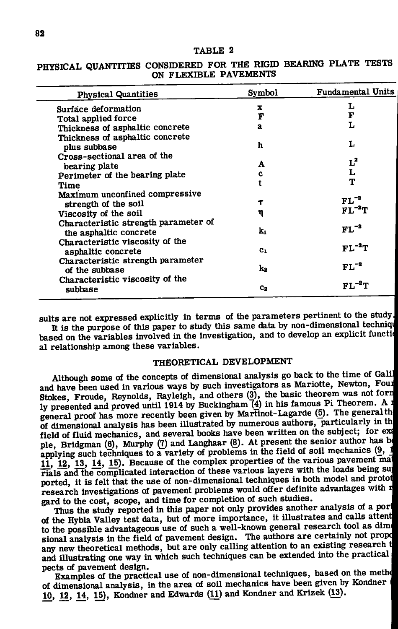#### **TABLE 2**

## **PHYSICAL QUANTITIES CONSIDERED FOR THE RIGID BEARING PLATE TESTS ON FLEXIBL E PAVEMENTS**

| <b>Physical Quantities</b>                              | Symbol       | <b>Fundamental Units</b> |
|---------------------------------------------------------|--------------|--------------------------|
| Surface deformation                                     | x            | L                        |
| Total applied force                                     | F            | F                        |
| Thickness of asphaltic concrete                         | $\mathbf{a}$ | L                        |
| Thickness of asphaltic concrete                         |              |                          |
| plus subbase                                            | h            | L                        |
| Cross-sectional area of the                             |              |                          |
| bearing plate                                           | A            | $L^2$                    |
| Perimeter of the bearing plate                          | c            | L                        |
| Time                                                    |              | T                        |
| Maximum unconfined compressive                          |              |                          |
| strength of the soil                                    | Т            | $FL^{-2}$                |
| Viscosity of the soil                                   | η            | $FL^{-2}T$               |
| Characteristic strength parameter of                    |              |                          |
| the asphaltic concrete                                  | k.           | $FL^{-2}$                |
|                                                         |              |                          |
| Characteristic viscosity of the                         | $c_{1}$      | $FL^{-2}T$               |
| asphaltic concrete<br>Characteristic strength parameter |              |                          |
| of the subbase                                          | k.           | $FL^{-2}$                |
| Characteristic viscosity of the                         |              |                          |
| subbase                                                 | $c_{2}$      | $FL^{-2}T$               |

sults are not expressed explicitly in terms of the parameters pertinent to the study. It is the purpose of this paper to study this same data by non-dimensional techniqu based on the variables involved in the investigation, and to develop an explicit function **al relationship among these variables. •** 

## **THEORETICAL DEVELOPMENT**

**Although some of the concepts of dimensional analysis go back to the time of Galil and have been used in various ways by such investigators as Mariotte, Newton, Foui Stokes, Froude, Reynolds, Rayleigh, and others (3), the basic theorem was not forr ly presented and proved until 1914 by Buckingham74) in his famous Pi Theorem, A i general proof has more recently been given by Martinot-Lagarde (5). The general th of dimensional analysis has been illustrated by numerous authors, particularly in th field of fluid mechanics, and several books have been written on the subject; for ex**  ple, Bridgman (6), Murphy (7) and Langhaar (8). At present the senior author has be applying such techniques to a variety of problems in the field of soil mechanics (9, 1) **11, 12, 13, 14, 15). Because of the complex properties of the various pavement ma rials and the complicated interaction of these various layers with the loads being su**  ported, it is felt that the use of non-dimensional techniques in both model and protot **research investigations of pavement problems would offer definite advantages with ^ gard to the cost, scope, and time for completion of such studies.** 

**Thus the study reported in this paper not only provides another analysis of a** *pori*  of the Hybla Valley test data, but of more importance, it illustrates and calls attent to the possible advantageous use of such a well-known general research tool as dime sional analysis in the field of pavement design. The authors are certainly not propd **any new theoretical methods, but are only calling attention to an existing research and illustrating one way in which such techniques can be extended into the practical pects of pavement design.** 

**Examples of the practical use of non-dimensional techniques, based on the method of dimensional analysis, in the area of soil mechanics have been given by Kondner ' 10, 12, 14, 15), Kondner and Edwards (11) and Kondner and Krizek (13),**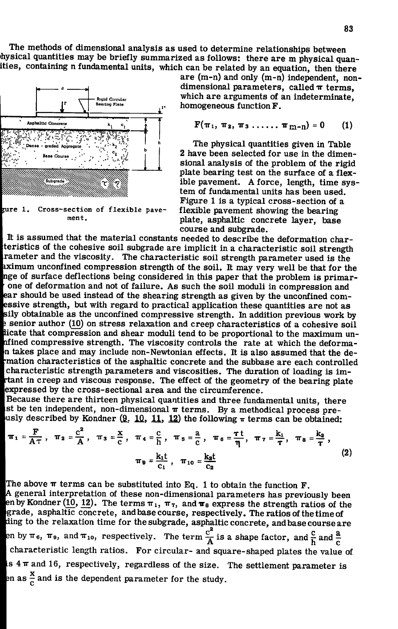**The methods of dimensional analysis as used to determine relationships between ihysical quantities may be briefly summarized as follows; there are m physical quanities, containing n fundamental units, which can be related by an equation, then there** 



ment.

**are (m-n) and only (m-n) independent, non**dimensional parameters, called  $\pi$  terms, **which are arguments of an indeterminate, , • homogeneous function F .** 

$$
F(\pi_1, \pi_2, \pi_3 \ldots \ldots \pi_{m-n}) = 0 \qquad (1)
$$

**The physical quantities given in Table 2 have been selected for use in the dimensional analysis of the problem of the rigid plate bearing test on the surface of a flexible pavement. A force, length, time system of fundamental units has been used. Figure 1 is a typical cross-section of a flexible pavement showing the bearing plate, asphaltic concrete layer, base course and subgrade.** 

**It is assumed that the material constants needed to describe the deformation charteristics of the cohesive soil subgrade are implicit in a characteristic soil strength rameter and the viscosity. The characteristic soil strength parameter used is the bximum unconfined compression strength of the soil. It may very well be that for the Inge of surface deflections being considered in this paper that the problem is primarone of deformation and not of failure. As such the soil moduli in compression and EXECUTE:** Solven as the unconfined compressive strength. In addition previous work by a sonior outbox (10) on stress relaxion and areas changed in addition of a solvenium and l **ar should be used instead of the shearing strength as given by the unconfined comssive strength, but with regard to practical application these quantities are not as senior author (10) on stress relaxation and creep characteristics of a cohesive soil Bicate that compression and shear moduli tend to be proportional to the maximum un- |ifined compressive strength. The viscosity controls the rate at which the deforman takes place and may include non-Newtonian effects. It is also assumed that the demation characteristics of the asphaltic concrete and the subbase are each controlled characteristic strength parameters and viscosities. The duration of loading is imtant in creep and viscous response. The effect of the geometry of the bearing plate [expressed by the cross-sectional area and the circumference.** 

**Because there are thirteen physical quantities and three fundamental units, there**   $\mathbf s$ t be ten independent, non-dimensional  $\boldsymbol{\pi}$  terms. By a methodical process pre**usly described by Kondner (9, 10, 11, 12) the following**  $\pi$  **terms can be obtained;** 

$$
\pi_1 = \frac{F}{A\tau}, \quad \pi_2 = \frac{c^2}{A}, \quad \pi_3 = \frac{x}{c}, \quad \pi_4 = \frac{c}{h}, \quad \pi_5 = \frac{a}{c}, \quad \pi_6 = \frac{\tau t}{\eta}, \quad \pi_7 = \frac{k_1}{\tau}, \quad \pi_8 = \frac{k_3}{\tau},
$$

$$
\pi_9 = \frac{k_1 t}{c_1}, \quad \pi_{10} = \frac{k_2 t}{c_2}
$$
(2)

The above  $\pi$  terms can be substituted into Eq. 1 to obtain the function **F**. **| A general interpretation of these non-dimensional parameters has previously been e**n by Kondner (10, 12). The terms  $\pi_1$ ,  $\pi_7$ , and  $\pi_8$  express the strength ratios of the **grade, asphaltic concrete, and base course, respectively. The ratios of the time of fding to the relaxation time for the subgrade, asphaltic concrete, and base course are 2** by  $\pi$ <sub>6</sub>,  $\pi$ <sub>9</sub>, and  $\pi$ <sub>10</sub>, respectively. The term  $\frac{c^2}{A}$  is a shape factor, and  $\frac{c}{h}$  and  $\frac{a}{c}$ **characteristic length ratios. For circular- and square-shaped plates the value of Is 417 and 16, respectively, regardless of the size. The settlement parameter is en as**  $\frac{x}{c}$  **and is the dependent parameter for the study.**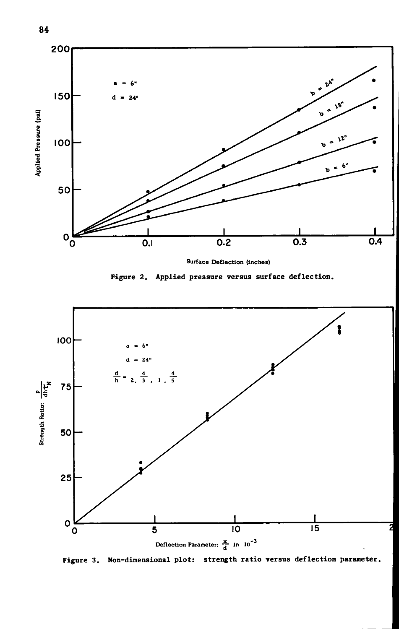

Surface Deflection (inches)

Figure 2. Applied pressure versus surface deflection.



Figure 3. Non-dimensional plot: strength ratio versus deflection parameter.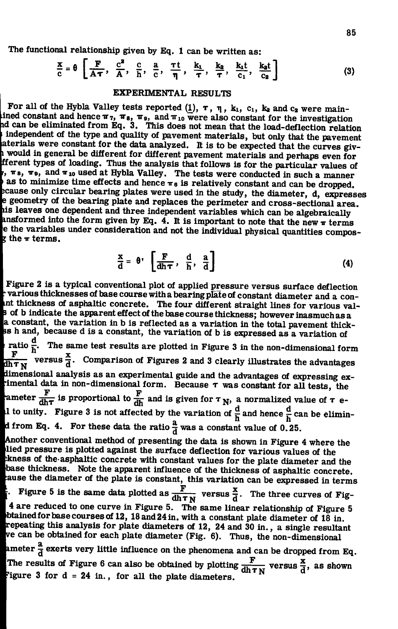**The functional relationship given by Eq. 1 can be written as:** 

$$
\frac{x}{c} = \theta \left[ \frac{F}{A\tau}, \frac{c^2}{A}, \frac{c}{h}, \frac{a}{c}, \frac{\tau t}{\eta}, \frac{k_1}{\tau}, \frac{k_2}{\tau}, \frac{k_2 t}{c_1}, \frac{k_2 t}{c_2} \right]
$$
(3)

### **EXPERIMENTAL RESULTS**

For all of the Hybla Valley tests reported  $(1)$ ,  $\tau$ ,  $\eta$ ,  $k_1$ ,  $c_1$ ,  $k_2$  and  $c_2$  were mainined constant and hence  $\pi_7$ ,  $\pi_8$ ,  $\pi_9$ , and  $\pi_{10}$  were also constant for the investigation **id can be eliminated from Eq. 3. This does not mean that the load-deflection relation ; independent of the type and quality of pavement materials, but only that the pavement aterials were constant for the data analyzed. It is to be expected that the curves giv-**1 **would in general be different for different pavement materials and perhaps even for fferent types of loading. Thus the analysis that follows is for the particular values of ITS , ITS , and IT 10 used at Hybla Valley. The tests were conducted in such a manner**  as to minimize time effects and hence  $\pi_6$  is relatively constant and can be dropped, ecause only circular bearing plates were used in the study, the diameter, d, expresses **} geometry of the bearing plate and replaces the perimeter and cross-sectional area, his leaves one dependent and three Independent variables which can be algebraically ansformed into the form given by Eq. 4. It is important to note that the new**  $\pi$  **terms** e the variables under consideration and not the individual physical quantities compos**the**  $\pi$  terms.

$$
\frac{x}{d} = \theta \cdot \left[ \frac{F}{dh \tau}, \frac{d}{h}, \frac{a}{d} \right]
$$
 (4)

**Figure 2 is a typical conventional plot of applied pressure versus surface deflection variousthicknessesof base course with a bearing plate of constant diameter and a count thickness of asphaltic concrete. The four different straight lines for various val-If of b indicate the apparent effect of the base course thickness; however inasmuch as a Ja constant, the variation in b is reflected as a variation in the total pavement thick-Bs h and, because d is a constant, the variation of b is expressed as a variation of** ratio  $\frac{1}{b}$ . The same test results are plotted in Figure 3 in the non-dimensional form  $\mathbf{F}$   $\mathbf{H}$   $\mathbf{x}$ dimensional analysis as an experimental guide and the advantages of expressing eximental data in non-dimensional form. Because  $\tau$  was constant for all tests, the **land in the dimensional form.** Because T was constant for all tests, the causer  $\frac{F}{dh\tau}$  is proportional to  $\frac{F}{dh}$  and is given for  $\tau_{N}$ , a normalized value of  $\tau$  e-**1** to unity. Figure 3 is not affected by the variation of  $\frac{u}{b}$  and hence  $\frac{u}{b}$  can be elimin**d** from Eq. 4. For these data the ratio  $\frac{a}{d}$  was a constant value of 0.25. **Another conventional method of presenting the data is shown in Figure 4 where the lied pressure is plotted against the surface deflection for various values of the ;kness of the-asphaltic concrete with constant values for the plate diameter and the base thickness. Note the apparent influence of the thickness of asphaltic concrete. :ause the diameter of the plate is constant, this variation can be expressed in terms**   $\mathbf{F}$   $\mathbf{F}$   $\mathbf{x}$  $\frac{1}{2}$  is the same data plotted as  $\frac{dh \tau}{dh \tau}$  versus  $\frac{d}{d}$ . The three curves of Fig-**4 are reduced to one curve in Figure 5. The same linear relationship of Figure 5 btained for base courses of 12, 18and24in. with a constant plate diameter of 18 in. repeating this analysis for plate diameters of 12, 24 and 30 in., a single resultant | v e can be obtained for each plate diameter (Fig. 6). Thus, the non-dimensional**  ameter  $\frac{a}{d}$  exerts very little influence on the phenomena and can be dropped from Eq. **F x The results of Figure 6 can also be obtained by plotting** *^^pf^* **versus ^ , as shown figure 3 for d = 24 in., for all the plate diameters.**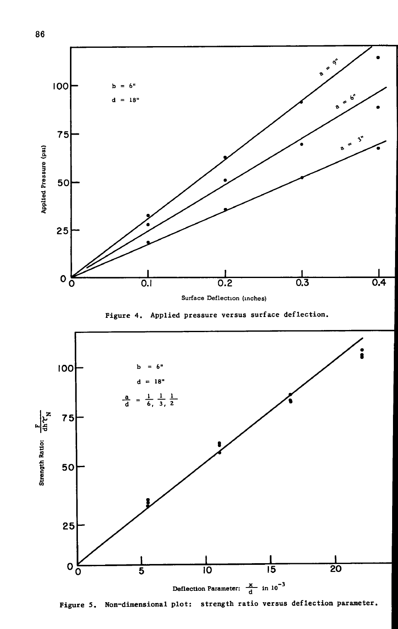

**Surface Deflection (inches)** 

Figure 4. Applied pressure versus surface deflection.



Figure 5. Non-dimensional plot: strength ratio versus deflection parameter.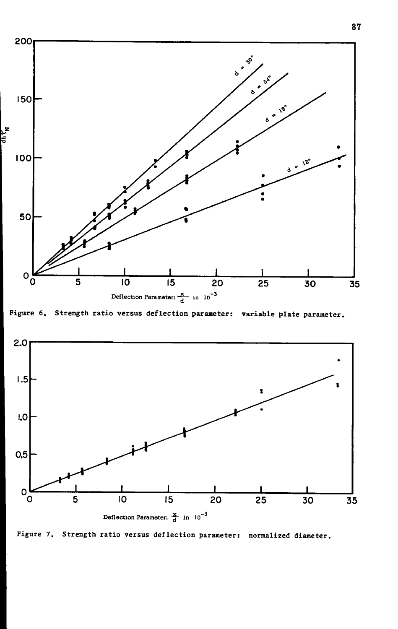

Figure 6. Strength ratio versus deflection parameter: variable plate parameter.



Figure 7. Strength ratio versus deflection parameter: normalized diameter.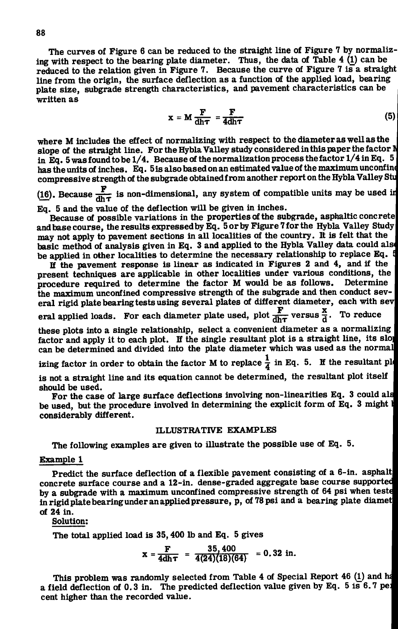**The curves of Figure 6 can be reduced to the straight line of Figure 7 by normalizing with respect to the bearing plate diameter. Thus, the data of Table 4 (1) can be reduced to the relation given in Figure 7. Because the curve of Figure 7 is a straight**  line from the origin, the surface deflection as a function of the applied load, bearing **plate size, subgrade strength characteristics, and pavement characteristics can be written as** 

$$
x = M \frac{F}{dh\tau} = \frac{F}{4dh\tau}
$$
 (5)

**where M includes the effect of normalizing with respect to the diameter as well as the**  slope of the straight line. For the Hybla Valley study considered in this paper the factor **N** in Eq. 5 was found to be 1/4. Because of the normalization process the factor 1/4 in Eq. 5 has the units of inches. Eq. 5 is also based on an estimated value of the maximum unconfine compressive strength of the subgrade obtained from another report on the Hybla Valley Stu

(16). Because  $\frac{F}{dh\tau}$  is non-dimensional, any system of compatible units may be used in **Eq. 5 and the value of the deflection will be given in inches.** 

**Because of possible variations in the properties of the subgrade, asphaltic concretel**  and base course, the results expressed by Eq. 5 or by Figure 7 for the Hybla Valley Study **may not apply to pavement sections in all localities of the country. It is felt that the**  basic method of analysis given in Eq. 3 and applied to the Hybla Valley data could also **be applied in other localities to determine the necessary relationship to replace Eq .** 

If the pavement response is linear as indicated in Figures 2 and 4, and if the **present techniques are applicable in other localities under various conditions, the procedure required to determine the factor M would be as follows. Determine the maximum unconfined compressive strength of the subgrade and then conduct sev**eral rigid plate bearing tests using several plates of different diameter, each with sev

**F** *xer* **eral applied loads. For each diameter plate used, plot versus ^ . To reduce** 

these plots into a single relationship, select a convenient diameter as a normalizing factor and apply it to each plot. If the single resultant plot is a straight line, its slog **can be determined and divided into the plate diameter which was used as the normall** 

**izing factor in order to obtain the factor M to replace**  $\frac{1}{4}$  **in Eq. 5. If the resultant ple** 

**is not a straight line and its equation cannot be determined, the resultant plot itself should be used.** 

**For the case of large surface deflections involving non-linearities Eq. 3 could als be used, but the procedure involved in determining the explicit form of Eq . 3 might l | considerably different.** 

#### **ILLUSTRATIVE EXAMPLES**

**The following examples are given to illustrate the possible use of Eq. 5.** 

#### **Example 1**

Predict the surface deflection of a flexible pavement consisting of a 6-in. asphalt concrete surface course and a 12-in. dense-graded aggregate base course supported by a subgrade with a maximum unconfined compressive strength of 64 psi when teste in rigid plate bearing under an applied pressure, p, of 78 psi and a bearing plate diamet **of 24 in.**  $\blacksquare$ 

**Solution;** 

**The total applied load is 35,400 lb and Eq. 5 gives** 

$$
x = \frac{F}{4dh\tau} = \frac{35,400}{4(24)(18)(64)} = 0.32 \text{ in.}
$$

This problem was randomly selected from Table 4 of Special Report 46 (1) and ha **a field deflection of 0.3 in.** The predicted deflection value given by Eq.  $5$  is  $6.7$  per **cent higher than the recorded value.**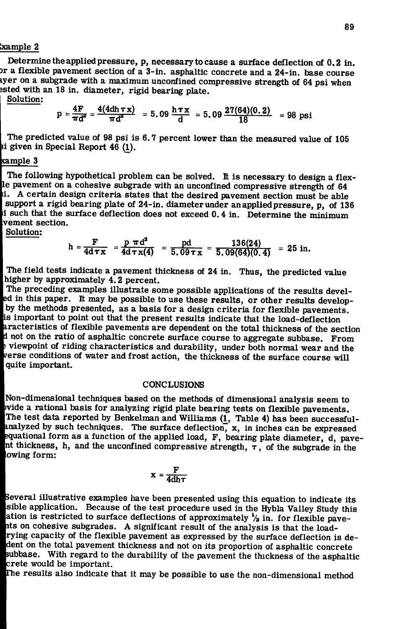#### **Sample 2**

**Determine the applied pressure, p, necessary to cause a surface deflection of 0.2 in. 3r a flexible pavement section of a 3-in. asphaltic concrete and a 24-in. base course lyer on a subgrade with a maximum unconfined compressive strength of 64 psi when** *isted* **with an 18 in. diameter, rigid bearing plate.** 

**Solution:** 

$$
p = \frac{4F}{\pi d^2} = \frac{4(4dh \tau x)}{\pi d^2} = 5.09 \frac{h \tau x}{d} = 5.09 \frac{27(64)(0.2)}{18} = 98 \text{ psi}
$$

**The predicted value of 98 psi is 6.7 percent lower than the measured value of 105 li given in Special Report 46 (1^).** 

#### **ample 3**

**The following hypothetical problem can be solved. It is necessary to design a flexile pavement on a cohesive subgrade with an unconfined compressive strength of 64 A** certain design criteria states that the desired pavement section must be able **support a rigid bearing plate of 24-in. diameter under an applied pressure, p, of 136 • such that the surface deflection does not exceed 0.4 in. Determine the minimum vement section.** 

**Solution;** 

$$
h = \frac{F}{4d\tau x} = \frac{p \pi d^2}{4d\tau x(4)} = \frac{pd}{5.09 \tau x} = \frac{136(24)}{5.09(64)(0.4)} = 25 \text{ in.}
$$

**The field tests indicate a pavement thickness of 24 in. Thus, the predicted value higher by approximately 4,2 percent.** 

**The preceding examples illustrate some possible applications of the results develled in this paper. It may be possible to use these results, or other results developby the methods presented, as a basis for a design criteria for flexible pavements.**  In important to point out that the present results indicate that the load-deflection<br>
aracteristics of flexible pavements are dependent on the total thickness of the section<br>
d not on the ratio of asphaltic concrete surfac **s important to point out that the present results indicate that the load-deflection .racteristics of flexible pavements are dependent on the total thickness of the section viewpoint of riding characteristics and durability, under both normal wear and the |rerse conditions of water and frost action, the thickness of the surface course will quite important.** 

#### **CONCLUSIONS**

**Non-dimensional techniques based on the methods of dimensional analysis seem to p**vide a rational basis for analyzing rigid plate bearing tests on flexible pavements. **The test data reported by Benkelman and Williams (1^, Table 4) has been successfulfenalyzed by such techniques. The surface deflection, x, in inches can be expressed lequational form as a function of the applied load, F , bearing plate diameter, d, pave-***Int* **thickness, h, and the unconfined compressive strength,** T **, of the subgrade in the owing form:** 

$$
x = \frac{F}{4dh\tau}
$$

**Several illustrative examples have been presented using this equation to indicate its sible application. Because of the test procedure used in the Hybla Valley Study this**  ation is restricted to surface deflections of approximately  $\frac{1}{2}$  in. for flexible pave**its on cohesive subgrades. A significant result of the analysis is that the loadrying capacity of the flexible pavement as expressed by the surface deflection is de-Ident on the total pavement thickness and not on its proportion of asphaltic concrete ubbase. With regard to the durability of the pavement the thickness of the asphaltic •crete would be important.** 

**gThe results also indicate that it may be possible to use the non-dimensional method**